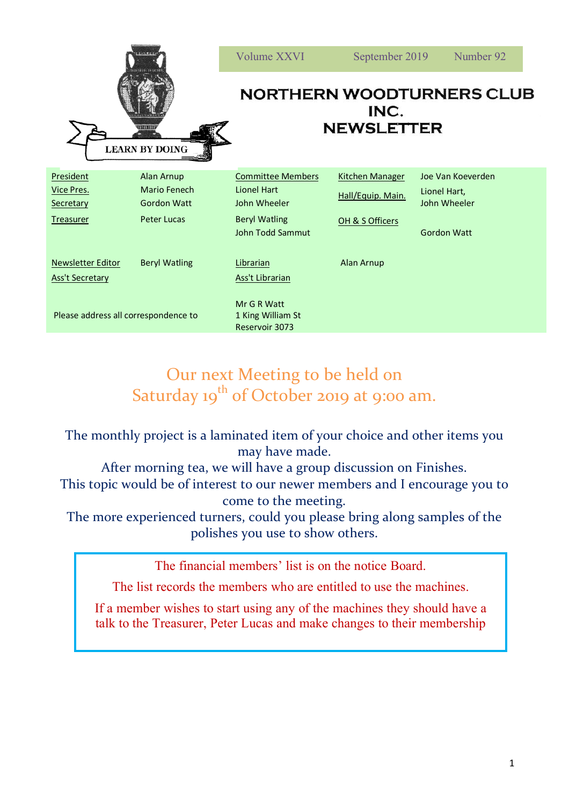|                                                          |                                                                                      | <b>Volume XXVI</b>                                                                                         | September 2019                                                 | Number 92                                                               |
|----------------------------------------------------------|--------------------------------------------------------------------------------------|------------------------------------------------------------------------------------------------------------|----------------------------------------------------------------|-------------------------------------------------------------------------|
| 11111111<br><b>LEARN BY DOING</b>                        |                                                                                      | <b>NORTHERN WOODTURNERS CLUB</b><br>INC.<br><b>NEWSLETTER</b>                                              |                                                                |                                                                         |
| President<br>Vice Pres.<br>Secretary<br><b>Treasurer</b> | <b>Alan Arnup</b><br><b>Mario Fenech</b><br><b>Gordon Watt</b><br><b>Peter Lucas</b> | <b>Committee Members</b><br><b>Lionel Hart</b><br>John Wheeler<br><b>Beryl Watling</b><br>John Todd Sammut | <b>Kitchen Manager</b><br>Hall/Equip. Main.<br>OH & S Officers | Joe Van Koeverden<br>Lionel Hart,<br>John Wheeler<br><b>Gordon Watt</b> |
| <b>Newsletter Editor</b><br><b>Ass't Secretary</b>       | <b>Beryl Watling</b>                                                                 | Librarian<br>Ass't Librarian                                                                               | Alan Arnup                                                     |                                                                         |
| Please address all correspondence to                     |                                                                                      | Mr G R Watt<br>1 King William St<br>Reservoir 3073                                                         |                                                                |                                                                         |

## Our next Meeting to be held on Saturday 19<sup>th</sup> of October 2019 at 9:00 am.

The monthly project is a laminated item of your choice and other items you may have made.

After morning tea, we will have a group discussion on Finishes. This topic would be of interest to our newer members and I encourage you to come to the meeting.

The more experienced turners, could you please bring along samples of the polishes you use to show others.

The financial members' list is on the notice Board.

The list records the members who are entitled to use the machines.

If a member wishes to start using any of the machines they should have a talk to the Treasurer, Peter Lucas and make changes to their membership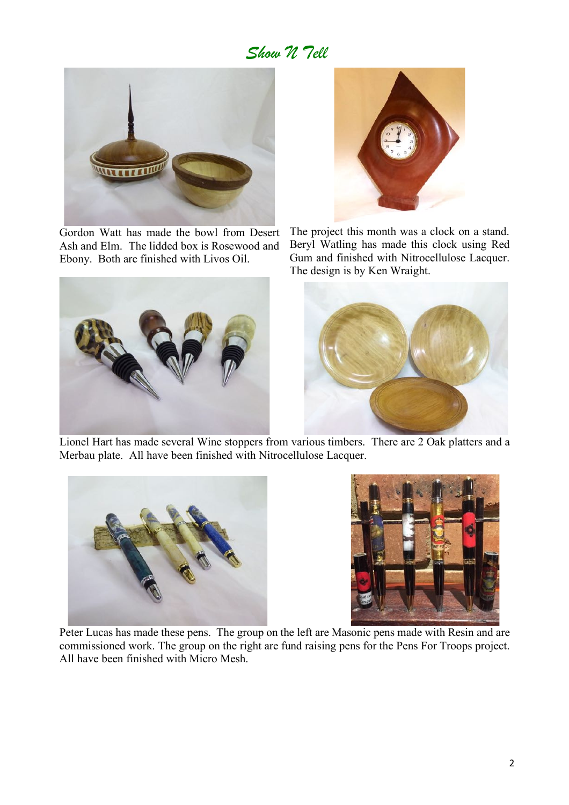## *Show N Tell*



Gordon Watt has made the bowl from Desert Ash and Elm. The lidded box is Rosewood and Ebony. Both are finished with Livos Oil.





The project this month was a clock on a stand. Beryl Watling has made this clock using Red Gum and finished with Nitrocellulose Lacquer. The design is by Ken Wraight.



 Lionel Hart has made several Wine stoppers from various timbers. There are 2 Oak platters and a Merbau plate. All have been finished with Nitrocellulose Lacquer.





 Peter Lucas has made these pens. The group on the left are Masonic pens made with Resin and are commissioned work. The group on the right are fund raising pens for the Pens For Troops project. All have been finished with Micro Mesh.